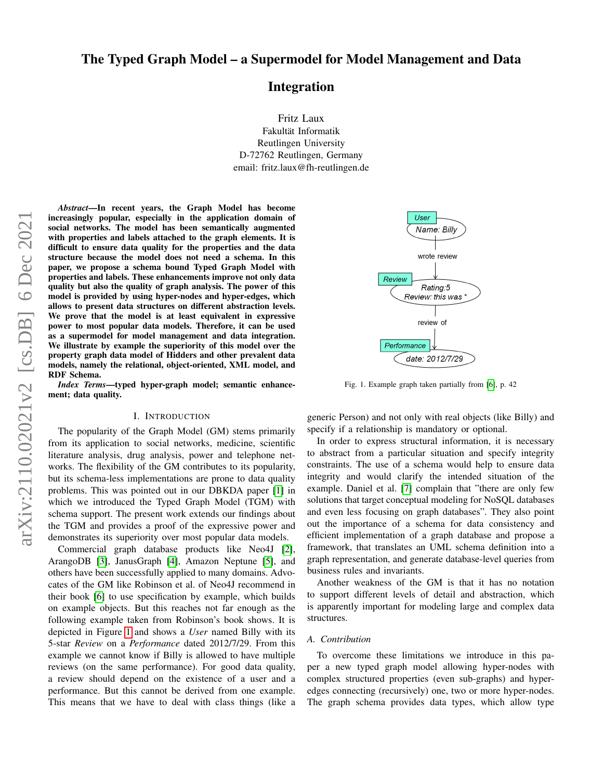Integration

Fritz Laux Fakultät Informatik Reutlingen University D-72762 Reutlingen, Germany email: fritz.laux@fh-reutlingen.de

*Abstract*—In recent years, the Graph Model has become increasingly popular, especially in the application domain of social networks. The model has been semantically augmented with properties and labels attached to the graph elements. It is difficult to ensure data quality for the properties and the data structure because the model does not need a schema. In this paper, we propose a schema bound Typed Graph Model with properties and labels. These enhancements improve not only data quality but also the quality of graph analysis. The power of this model is provided by using hyper-nodes and hyper-edges, which allows to present data structures on different abstraction levels. We prove that the model is at least equivalent in expressive power to most popular data models. Therefore, it can be used as a supermodel for model management and data integration. We illustrate by example the superiority of this model over the property graph data model of Hidders and other prevalent data models, namely the relational, object-oriented, XML model, and RDF Schema.

*Index Terms*—typed hyper-graph model; semantic enhancement; data quality.

### I. INTRODUCTION

The popularity of the Graph Model (GM) stems primarily from its application to social networks, medicine, scientific literature analysis, drug analysis, power and telephone networks. The flexibility of the GM contributes to its popularity, but its schema-less implementations are prone to data quality problems. This was pointed out in our DBKDA paper [\[1\]](#page-10-0) in which we introduced the Typed Graph Model (TGM) with schema support. The present work extends our findings about the TGM and provides a proof of the expressive power and demonstrates its superiority over most popular data models.

Commercial graph database products like Neo4J [\[2\]](#page-10-1), ArangoDB [\[3\]](#page-10-2), JanusGraph [\[4\]](#page-10-3), Amazon Neptune [\[5\]](#page-10-4), and others have been successfully applied to many domains. Advocates of the GM like Robinson et al. of Neo4J recommend in their book [\[6\]](#page-10-5) to use specification by example, which builds on example objects. But this reaches not far enough as the following example taken from Robinson's book shows. It is depicted in Figure [1](#page-0-0) and shows a *User* named Billy with its 5-star *Review* on a *Performance* dated 2012/7/29. From this example we cannot know if Billy is allowed to have multiple reviews (on the same performance). For good data quality, a review should depend on the existence of a user and a performance. But this cannot be derived from one example. This means that we have to deal with class things (like a

<span id="page-0-0"></span>

Fig. 1. Example graph taken partially from [\[6\]](#page-10-5), p. 42

generic Person) and not only with real objects (like Billy) and specify if a relationship is mandatory or optional.

In order to express structural information, it is necessary to abstract from a particular situation and specify integrity constraints. The use of a schema would help to ensure data integrity and would clarify the intended situation of the example. Daniel et al. [\[7\]](#page-10-6) complain that "there are only few solutions that target conceptual modeling for NoSQL databases and even less focusing on graph databases". They also point out the importance of a schema for data consistency and efficient implementation of a graph database and propose a framework, that translates an UML schema definition into a graph representation, and generate database-level queries from business rules and invariants.

Another weakness of the GM is that it has no notation to support different levels of detail and abstraction, which is apparently important for modeling large and complex data structures.

# *A. Contribution*

To overcome these limitations we introduce in this paper a new typed graph model allowing hyper-nodes with complex structured properties (even sub-graphs) and hyperedges connecting (recursively) one, two or more hyper-nodes. The graph schema provides data types, which allow type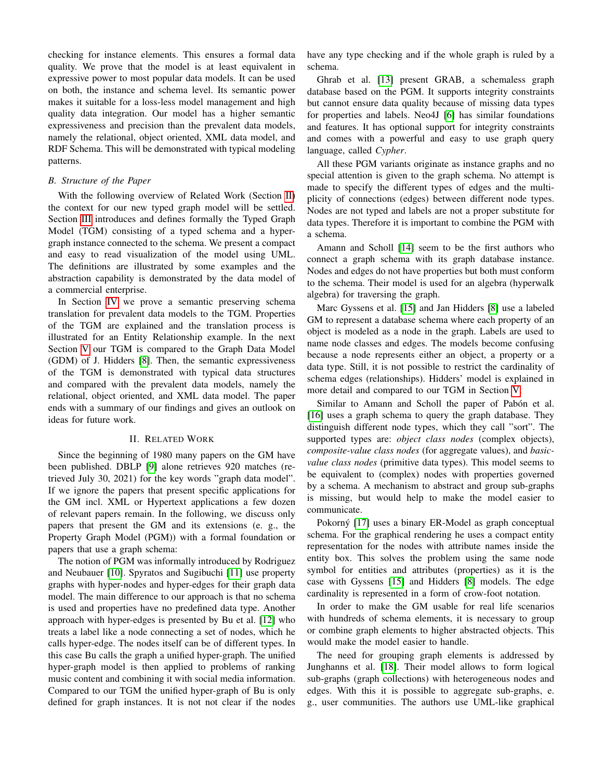checking for instance elements. This ensures a formal data quality. We prove that the model is at least equivalent in expressive power to most popular data models. It can be used on both, the instance and schema level. Its semantic power makes it suitable for a loss-less model management and high quality data integration. Our model has a higher semantic expressiveness and precision than the prevalent data models, namely the relational, object oriented, XML data model, and RDF Schema. This will be demonstrated with typical modeling patterns.

#### *B. Structure of the Paper*

With the following overview of Related Work (Section [II\)](#page-1-0) the context for our new typed graph model will be settled. Section [III](#page-2-0) introduces and defines formally the Typed Graph Model (TGM) consisting of a typed schema and a hypergraph instance connected to the schema. We present a compact and easy to read visualization of the model using UML. The definitions are illustrated by some examples and the abstraction capability is demonstrated by the data model of a commercial enterprise.

In Section [IV](#page-4-0) we prove a semantic preserving schema translation for prevalent data models to the TGM. Properties of the TGM are explained and the translation process is illustrated for an Entity Relationship example. In the next Section [V](#page-6-0) our TGM is compared to the Graph Data Model (GDM) of J. Hidders [\[8\]](#page-10-7). Then, the semantic expressiveness of the TGM is demonstrated with typical data structures and compared with the prevalent data models, namely the relational, object oriented, and XML data model. The paper ends with a summary of our findings and gives an outlook on ideas for future work.

## II. RELATED WORK

<span id="page-1-0"></span>Since the beginning of 1980 many papers on the GM have been published. DBLP [\[9\]](#page-10-8) alone retrieves 920 matches (retrieved July 30, 2021) for the key words "graph data model". If we ignore the papers that present specific applications for the GM incl. XML or Hypertext applications a few dozen of relevant papers remain. In the following, we discuss only papers that present the GM and its extensions (e. g., the Property Graph Model (PGM)) with a formal foundation or papers that use a graph schema:

The notion of PGM was informally introduced by Rodriguez and Neubauer [\[10\]](#page-10-9). Spyratos and Sugibuchi [\[11\]](#page-10-10) use property graphs with hyper-nodes and hyper-edges for their graph data model. The main difference to our approach is that no schema is used and properties have no predefined data type. Another approach with hyper-edges is presented by Bu et al. [\[12\]](#page-10-11) who treats a label like a node connecting a set of nodes, which he calls hyper-edge. The nodes itself can be of different types. In this case Bu calls the graph a unified hyper-graph. The unified hyper-graph model is then applied to problems of ranking music content and combining it with social media information. Compared to our TGM the unified hyper-graph of Bu is only defined for graph instances. It is not not clear if the nodes have any type checking and if the whole graph is ruled by a schema.

Ghrab et al. [\[13\]](#page-10-12) present GRAB, a schemaless graph database based on the PGM. It supports integrity constraints but cannot ensure data quality because of missing data types for properties and labels. Neo4J [\[6\]](#page-10-5) has similar foundations and features. It has optional support for integrity constraints and comes with a powerful and easy to use graph query language, called *Cypher*.

All these PGM variants originate as instance graphs and no special attention is given to the graph schema. No attempt is made to specify the different types of edges and the multiplicity of connections (edges) between different node types. Nodes are not typed and labels are not a proper substitute for data types. Therefore it is important to combine the PGM with a schema.

Amann and Scholl [\[14\]](#page-10-13) seem to be the first authors who connect a graph schema with its graph database instance. Nodes and edges do not have properties but both must conform to the schema. Their model is used for an algebra (hyperwalk algebra) for traversing the graph.

Marc Gyssens et al. [\[15\]](#page-10-14) and Jan Hidders [\[8\]](#page-10-7) use a labeled GM to represent a database schema where each property of an object is modeled as a node in the graph. Labels are used to name node classes and edges. The models become confusing because a node represents either an object, a property or a data type. Still, it is not possible to restrict the cardinality of schema edges (relationships). Hidders' model is explained in more detail and compared to our TGM in Section [V.](#page-6-0)

Similar to Amann and Scholl the paper of Pabón et al. [\[16\]](#page-10-15) uses a graph schema to query the graph database. They distinguish different node types, which they call "sort". The supported types are: *object class nodes* (complex objects), *composite-value class nodes* (for aggregate values), and *basicvalue class nodes* (primitive data types). This model seems to be equivalent to (complex) nodes with properties governed by a schema. A mechanism to abstract and group sub-graphs is missing, but would help to make the model easier to communicate.

Pokorný [\[17\]](#page-11-0) uses a binary ER-Model as graph conceptual schema. For the graphical rendering he uses a compact entity representation for the nodes with attribute names inside the entity box. This solves the problem using the same node symbol for entities and attributes (properties) as it is the case with Gyssens [\[15\]](#page-10-14) and Hidders [\[8\]](#page-10-7) models. The edge cardinality is represented in a form of crow-foot notation.

In order to make the GM usable for real life scenarios with hundreds of schema elements, it is necessary to group or combine graph elements to higher abstracted objects. This would make the model easier to handle.

The need for grouping graph elements is addressed by Junghanns et al. [\[18\]](#page-11-1). Their model allows to form logical sub-graphs (graph collections) with heterogeneous nodes and edges. With this it is possible to aggregate sub-graphs, e. g., user communities. The authors use UML-like graphical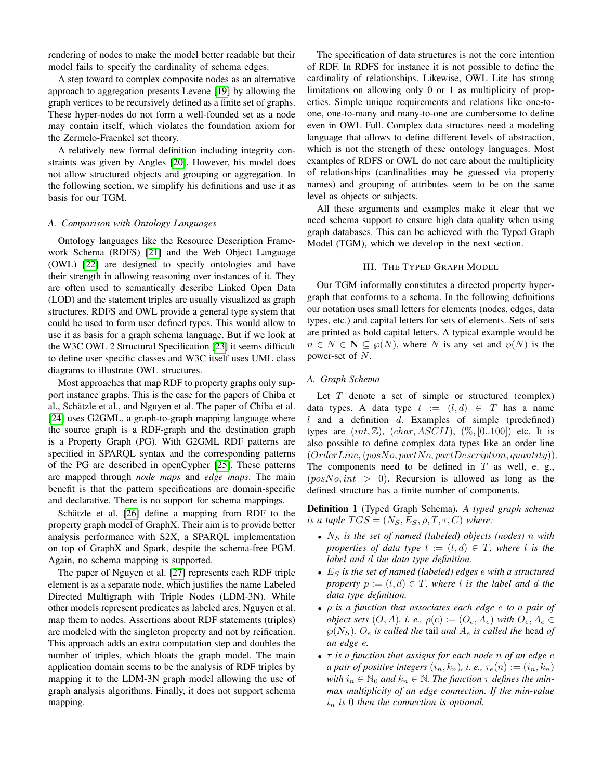rendering of nodes to make the model better readable but their model fails to specify the cardinality of schema edges.

A step toward to complex composite nodes as an alternative approach to aggregation presents Levene [\[19\]](#page-11-2) by allowing the graph vertices to be recursively defined as a finite set of graphs. These hyper-nodes do not form a well-founded set as a node may contain itself, which violates the foundation axiom for the Zermelo-Fraenkel set theory.

A relatively new formal definition including integrity constraints was given by Angles [\[20\]](#page-11-3). However, his model does not allow structured objects and grouping or aggregation. In the following section, we simplify his definitions and use it as basis for our TGM.

#### *A. Comparison with Ontology Languages*

Ontology languages like the Resource Description Framework Schema (RDFS) [\[21\]](#page-11-4) and the Web Object Language (OWL) [\[22\]](#page-11-5) are designed to specify ontologies and have their strength in allowing reasoning over instances of it. They are often used to semantically describe Linked Open Data (LOD) and the statement triples are usually visualized as graph structures. RDFS and OWL provide a general type system that could be used to form user defined types. This would allow to use it as basis for a graph schema language. But if we look at the W3C OWL 2 Structural Specification [\[23\]](#page-11-6) it seems difficult to define user specific classes and W3C itself uses UML class diagrams to illustrate OWL structures.

Most approaches that map RDF to property graphs only support instance graphs. This is the case for the papers of Chiba et al., Schätzle et al., and Nguyen et al. The paper of Chiba et al. [\[24\]](#page-11-7) uses G2GML, a graph-to-graph mapping language where the source graph is a RDF-graph and the destination graph is a Property Graph (PG). With G2GML RDF patterns are specified in SPARQL syntax and the corresponding patterns of the PG are described in openCypher [\[25\]](#page-11-8). These patterns are mapped through *node maps* and *edge maps*. The main benefit is that the pattern specifications are domain-specific and declarative. There is no support for schema mappings.

Schätzle et al.  $[26]$  define a mapping from RDF to the property graph model of GraphX. Their aim is to provide better analysis performance with S2X, a SPARQL implementation on top of GraphX and Spark, despite the schema-free PGM. Again, no schema mapping is supported.

The paper of Nguyen et al. [\[27\]](#page-11-10) represents each RDF triple element is as a separate node, which justifies the name Labeled Directed Multigraph with Triple Nodes (LDM-3N). While other models represent predicates as labeled arcs, Nguyen et al. map them to nodes. Assertions about RDF statements (triples) are modeled with the singleton property and not by reification. This approach adds an extra computation step and doubles the number of triples, which bloats the graph model. The main application domain seems to be the analysis of RDF triples by mapping it to the LDM-3N graph model allowing the use of graph analysis algorithms. Finally, it does not support schema mapping.

The specification of data structures is not the core intention of RDF. In RDFS for instance it is not possible to define the cardinality of relationships. Likewise, OWL Lite has strong limitations on allowing only 0 or 1 as multiplicity of properties. Simple unique requirements and relations like one-toone, one-to-many and many-to-one are cumbersome to define even in OWL Full. Complex data structures need a modeling language that allows to define different levels of abstraction, which is not the strength of these ontology languages. Most examples of RDFS or OWL do not care about the multiplicity of relationships (cardinalities may be guessed via property names) and grouping of attributes seem to be on the same level as objects or subjects.

All these arguments and examples make it clear that we need schema support to ensure high data quality when using graph databases. This can be achieved with the Typed Graph Model (TGM), which we develop in the next section.

#### III. THE TYPED GRAPH MODEL

<span id="page-2-0"></span>Our TGM informally constitutes a directed property hypergraph that conforms to a schema. In the following definitions our notation uses small letters for elements (nodes, edges, data types, etc.) and capital letters for sets of elements. Sets of sets are printed as bold capital letters. A typical example would be  $n \in N \subseteq \mathcal{P}(N)$ , where N is any set and  $\mathcal{P}(N)$  is the power-set of N.

# <span id="page-2-1"></span>*A. Graph Schema*

Let  $T$  denote a set of simple or structured (complex) data types. A data type  $t := (l, d) \in T$  has a name  $l$  and a definition  $d$ . Examples of simple (predefined) types are  $(int, \mathbb{Z})$ ,  $(char, ASCII), (\%, [0..100])$  etc. It is also possible to define complex data types like an order line  $(OrderLine, (posNo, partNo, partDescription, quantity)).$ The components need to be defined in  $T$  as well, e. g.,  $(posNo, int > 0)$ . Recursion is allowed as long as the defined structure has a finite number of components.

Definition 1 (Typed Graph Schema). *A typed graph schema is a tuple*  $TGS = (N_S, E_S, \rho, T, \tau, C)$  *where:* 

- N<sup>S</sup> *is the set of named (labeled) objects (nodes)* n *with properties of data type*  $t := (l, d) \in T$ *, where* l *is the label and* d *the data type definition.*
- E<sup>S</sup> *is the set of named (labeled) edges* e *with a structured property*  $p := (l, d) \in T$ *, where* l *is the label and* d *the data type definition.*
- ρ *is a function that associates each edge* e *to a pair of object sets*  $(O, A)$ *, i. e.,*  $\rho(e) := (O_e, A_e)$  *with*  $O_e, A_e \in$  $\wp(N_S)$ *.*  $O_e$  *is called the tail and*  $A_e$  *is called the head of an edge* e*.*
- τ *is a function that assigns for each node* n *of an edge* e *a pair of positive integers*  $(i_n, k_n)$ , *i. e.*,  $\tau_e(n) := (i_n, k_n)$ *with*  $i_n \in \mathbb{N}_0$  *and*  $k_n \in \mathbb{N}$ . *The function*  $\tau$  *defines the minmax multiplicity of an edge connection. If the min-value*  $i_n$  *is* 0 *then the connection is optional.*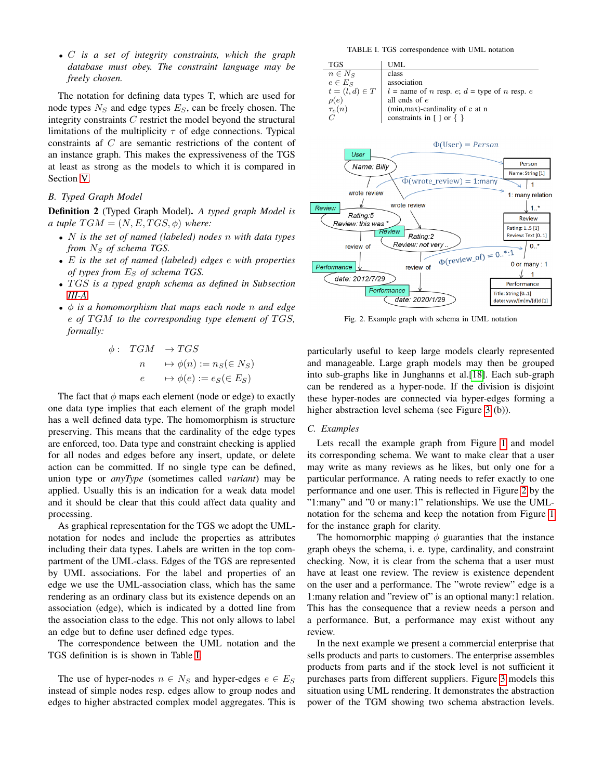• C *is a set of integrity constraints, which the graph database must obey. The constraint language may be freely chosen.*

The notation for defining data types T, which are used for node types  $N<sub>S</sub>$  and edge types  $E<sub>S</sub>$ , can be freely chosen. The integrity constraints C restrict the model beyond the structural limitations of the multiplicity  $\tau$  of edge connections. Typical constraints af C are semantic restrictions of the content of an instance graph. This makes the expressiveness of the TGS at least as strong as the models to which it is compared in Section [V.](#page-6-0)

# *B. Typed Graph Model*

Definition 2 (Typed Graph Model). *A typed graph Model is a tuple*  $TGM = (N, E, TGS, \phi)$  *where:* 

- N *is the set of named (labeled) nodes* n *with data types from*  $N_S$  *of schema TGS.*
- E *is the set of named (labeled) edges* e *with properties of types from*  $E<sub>S</sub>$  *of schema TGS.*
- T GS *is a typed graph schema as defined in Subsection [III-A.](#page-2-1)*
- φ *is a homomorphism that maps each node* n *and edge*  $e$  *of* TGM to the corresponding type element of TGS, *formally:*

$$
\begin{array}{rcl}\n\phi: & TGM & \to TGS \\
n & \mapsto \phi(n) := n_S(\in N_S) \\
e & \mapsto \phi(e) := e_S(\in E_S)\n\end{array}
$$

The fact that  $\phi$  maps each element (node or edge) to exactly one data type implies that each element of the graph model has a well defined data type. The homomorphism is structure preserving. This means that the cardinality of the edge types are enforced, too. Data type and constraint checking is applied for all nodes and edges before any insert, update, or delete action can be committed. If no single type can be defined, union type or *anyType* (sometimes called *variant*) may be applied. Usually this is an indication for a weak data model and it should be clear that this could affect data quality and processing.

As graphical representation for the TGS we adopt the UMLnotation for nodes and include the properties as attributes including their data types. Labels are written in the top compartment of the UML-class. Edges of the TGS are represented by UML associations. For the label and properties of an edge we use the UML-association class, which has the same rendering as an ordinary class but its existence depends on an association (edge), which is indicated by a dotted line from the association class to the edge. This not only allows to label an edge but to define user defined edge types.

The correspondence between the UML notation and the TGS definition is is shown in Table [I.](#page-3-0)

The use of hyper-nodes  $n \in N_S$  and hyper-edges  $e \in E_S$ instead of simple nodes resp. edges allow to group nodes and edges to higher abstracted complex model aggregates. This is

TABLE I. TGS correspondence with UML notation

<span id="page-3-0"></span>

<span id="page-3-1"></span>

Fig. 2. Example graph with schema in UML notation

particularly useful to keep large models clearly represented and manageable. Large graph models may then be grouped into sub-graphs like in Junghanns et al.[\[18\]](#page-11-1). Each sub-graph can be rendered as a hyper-node. If the division is disjoint these hyper-nodes are connected via hyper-edges forming a higher abstraction level schema (see Figure [3](#page-5-0) (b)).

# *C. Examples*

Lets recall the example graph from Figure [1](#page-0-0) and model its corresponding schema. We want to make clear that a user may write as many reviews as he likes, but only one for a particular performance. A rating needs to refer exactly to one performance and one user. This is reflected in Figure [2](#page-3-1) by the "1:many" and "0 or many:1" relationships. We use the UMLnotation for the schema and keep the notation from Figure [1](#page-0-0) for the instance graph for clarity.

The homomorphic mapping  $\phi$  guaranties that the instance graph obeys the schema, i. e. type, cardinality, and constraint checking. Now, it is clear from the schema that a user must have at least one review. The review is existence dependent on the user and a performance. The "wrote review" edge is a 1:many relation and "review of" is an optional many:1 relation. This has the consequence that a review needs a person and a performance. But, a performance may exist without any review.

In the next example we present a commercial enterprise that sells products and parts to customers. The enterprise assembles products from parts and if the stock level is not sufficient it purchases parts from different suppliers. Figure [3](#page-5-0) models this situation using UML rendering. It demonstrates the abstraction power of the TGM showing two schema abstraction levels.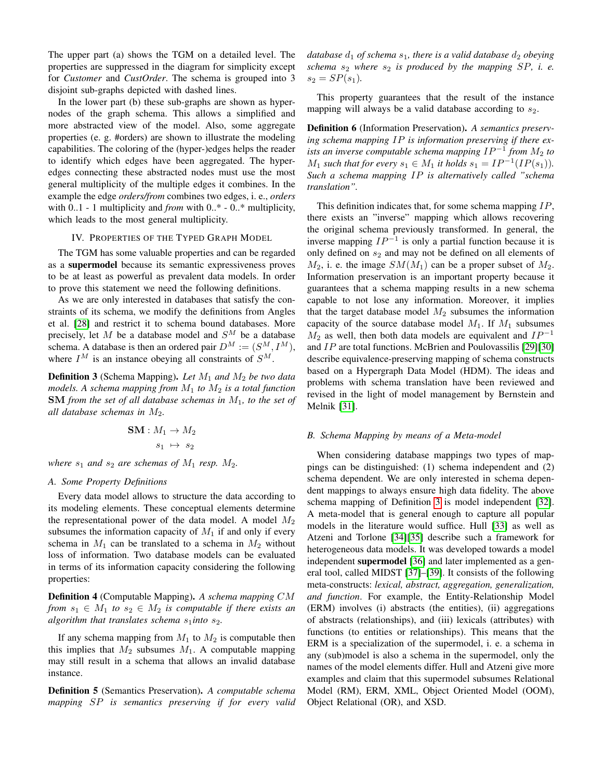The upper part (a) shows the TGM on a detailed level. The properties are suppressed in the diagram for simplicity except for *Customer* and *CustOrder*. The schema is grouped into 3 disjoint sub-graphs depicted with dashed lines.

In the lower part (b) these sub-graphs are shown as hypernodes of the graph schema. This allows a simplified and more abstracted view of the model. Also, some aggregate properties (e. g. #orders) are shown to illustrate the modeling capabilities. The coloring of the (hyper-)edges helps the reader to identify which edges have been aggregated. The hyperedges connecting these abstracted nodes must use the most general multiplicity of the multiple edges it combines. In the example the edge *orders/from* combines two edges, i. e., *orders* with 0..1 - 1 multiplicity and *from* with 0..\* - 0..\* multiplicity, which leads to the most general multiplicity.

## IV. PROPERTIES OF THE TYPED GRAPH MODEL

<span id="page-4-0"></span>The TGM has some valuable properties and can be regarded as a supermodel because its semantic expressiveness proves to be at least as powerful as prevalent data models. In order to prove this statement we need the following definitions.

As we are only interested in databases that satisfy the constraints of its schema, we modify the definitions from Angles et al. [\[28\]](#page-11-11) and restrict it to schema bound databases. More precisely, let M be a database model and  $S^M$  be a database schema. A database is then an ordered pair  $D^M := (S^M, I^M)$ , where  $I^M$  is an instance obeying all constraints of  $S^M$ .

<span id="page-4-1"></span>**Definition 3** (Schema Mapping). Let  $M_1$  and  $M_2$  be two data *models. A schema mapping from* M<sup>1</sup> *to* M<sup>2</sup> *is a total function* SM *from the set of all database schemas in* M1*, to the set of all database schemas in*  $M_2$ .

$$
\mathbf{SM}: M_1 \to M_2
$$

$$
s_1 \; \mapsto \; s_2
$$

*where*  $s_1$  *and*  $s_2$  *are schemas of*  $M_1$  *resp.*  $M_2$ *.* 

### *A. Some Property Definitions*

Every data model allows to structure the data according to its modeling elements. These conceptual elements determine the representational power of the data model. A model  $M_2$ subsumes the information capacity of  $M_1$  if and only if every schema in  $M_1$  can be translated to a schema in  $M_2$  without loss of information. Two database models can be evaluated in terms of its information capacity considering the following properties:

Definition 4 (Computable Mapping). *A schema mapping* CM *from*  $s_1 \in M_1$  *to*  $s_2 \in M_2$  *is computable if there exists an algorithm that translates schema*  $s_1$ *into*  $s_2$ *.* 

If any schema mapping from  $M_1$  to  $M_2$  is computable then this implies that  $M_2$  subsumes  $M_1$ . A computable mapping may still result in a schema that allows an invalid database instance.

Definition 5 (Semantics Preservation). *A computable schema mapping* SP *is semantics preserving if for every valid* *database*  $d_1$  *of schema*  $s_1$ *, there is a valid database*  $d_2$  *obeying schema*  $s_2$  *where*  $s_2$  *is produced by the mapping SP, i. e.*  $s_2 = SP(s_1)$ .

This property guarantees that the result of the instance mapping will always be a valid database according to  $s_2$ .

Definition 6 (Information Preservation). *A semantics preserving schema mapping* IP *is information preserving if there exists an inverse computable schema mapping*  $IP^{-1}$  *from*  $M_2$  *to M*<sub>1</sub> such that for every  $s_1 \in M_1$  it holds  $s_1 = IP^{-1}(IP(s_1))$ . *Such a schema mapping* IP *is alternatively called "schema translation".*

This definition indicates that, for some schema mapping IP, there exists an "inverse" mapping which allows recovering the original schema previously transformed. In general, the inverse mapping  $IP^{-1}$  is only a partial function because it is only defined on  $s_2$  and may not be defined on all elements of  $M_2$ , i. e. the image  $SM(M_1)$  can be a proper subset of  $M_2$ . Information preservation is an important property because it guarantees that a schema mapping results in a new schema capable to not lose any information. Moreover, it implies that the target database model  $M_2$  subsumes the information capacity of the source database model  $M_1$ . If  $M_1$  subsumes  $M_2$  as well, then both data models are equivalent and  $IP^{-1}$ and IP are total functions. McBrien and Poulovassilis [\[29\]](#page-11-12)[\[30\]](#page-11-13) describe equivalence-preserving mapping of schema constructs based on a Hypergraph Data Model (HDM). The ideas and problems with schema translation have been reviewed and revised in the light of model management by Bernstein and Melnik [\[31\]](#page-11-14).

### *B. Schema Mapping by means of a Meta-model*

When considering database mappings two types of mappings can be distinguished: (1) schema independent and (2) schema dependent. We are only interested in schema dependent mappings to always ensure high data fidelity. The above schema mapping of Definition [3](#page-4-1) is model independent [\[32\]](#page-11-15). A meta-model that is general enough to capture all popular models in the literature would suffice. Hull [\[33\]](#page-11-16) as well as Atzeni and Torlone [\[34\]](#page-11-17)[\[35\]](#page-11-18) describe such a framework for heterogeneous data models. It was developed towards a model independent supermodel [\[36\]](#page-11-19) and later implemented as a general tool, called MIDST [\[37\]](#page-11-20)–[\[39\]](#page-11-21). It consists of the following meta-constructs: *lexical, abstract, aggregation, generalization, and function*. For example, the Entity-Relationship Model (ERM) involves (i) abstracts (the entities), (ii) aggregations of abstracts (relationships), and (iii) lexicals (attributes) with functions (to entities or relationships). This means that the ERM is a specialization of the supermodel, i. e. a schema in any (sub)model is also a schema in the supermodel, only the names of the model elements differ. Hull and Atzeni give more examples and claim that this supermodel subsumes Relational Model (RM), ERM, XML, Object Oriented Model (OOM), Object Relational (OR), and XSD.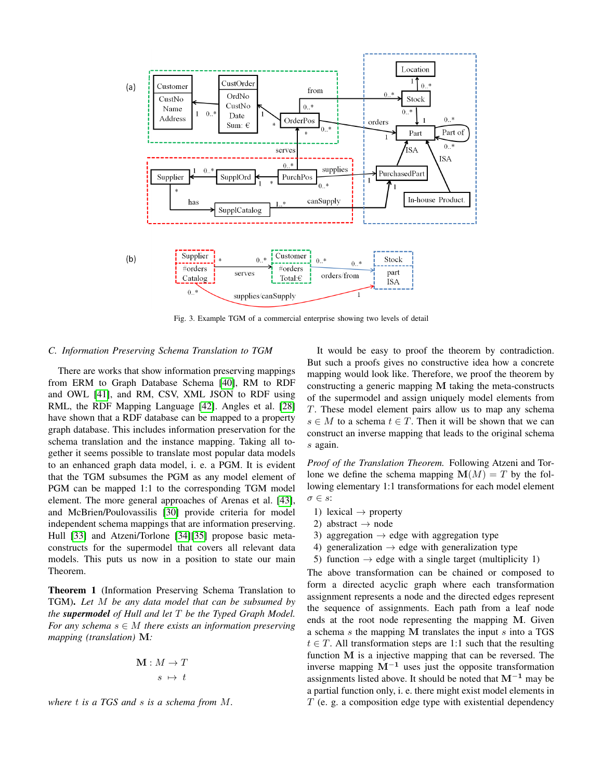<span id="page-5-0"></span>

Fig. 3. Example TGM of a commercial enterprise showing two levels of detail

### *C. Information Preserving Schema Translation to TGM*

There are works that show information preserving mappings from ERM to Graph Database Schema [\[40\]](#page-12-0), RM to RDF and OWL [\[41\]](#page-12-1), and RM, CSV, XML JSON to RDF using RML, the RDF Mapping Language [\[42\]](#page-12-2). Angles et al. [\[28\]](#page-11-11) have shown that a RDF database can be mapped to a property graph database. This includes information preservation for the schema translation and the instance mapping. Taking all together it seems possible to translate most popular data models to an enhanced graph data model, i. e. a PGM. It is evident that the TGM subsumes the PGM as any model element of PGM can be mapped 1:1 to the corresponding TGM model element. The more general approaches of Arenas et al. [\[43\]](#page-12-3), and McBrien/Poulovassilis [\[30\]](#page-11-13) provide criteria for model independent schema mappings that are information preserving. Hull [\[33\]](#page-11-16) and Atzeni/Torlone [\[34\]](#page-11-17)[\[35\]](#page-11-18) propose basic metaconstructs for the supermodel that covers all relevant data models. This puts us now in a position to state our main Theorem.

<span id="page-5-1"></span>Theorem 1 (Information Preserving Schema Translation to TGM). *Let* M *be any data model that can be subsumed by the supermodel of Hull and let* T *be the Typed Graph Model. For any schema*  $s \in M$  *there exists an information preserving mapping (translation)* M*:*

$$
\mathbf{M}:M\rightarrow T\\s\ \mapsto\ t
$$

*where* t *is a TGS and* s *is a schema from* M*.*

It would be easy to proof the theorem by contradiction. But such a proofs gives no constructive idea how a concrete mapping would look like. Therefore, we proof the theorem by constructing a generic mapping M taking the meta-constructs of the supermodel and assign uniquely model elements from T. These model element pairs allow us to map any schema  $s \in M$  to a schema  $t \in T$ . Then it will be shown that we can construct an inverse mapping that leads to the original schema s again.

*Proof of the Translation Theorem.* Following Atzeni and Torlone we define the schema mapping  $\mathbf{M}(M) = T$  by the following elementary 1:1 transformations for each model element  $\sigma \in s$ :

- 1) lexical  $\rightarrow$  property
- 2) abstract  $\rightarrow$  node
- 3) aggregation  $\rightarrow$  edge with aggregation type
- 4) generalization  $\rightarrow$  edge with generalization type
- 5) function  $\rightarrow$  edge with a single target (multiplicity 1)

The above transformation can be chained or composed to form a directed acyclic graph where each transformation assignment represents a node and the directed edges represent the sequence of assignments. Each path from a leaf node ends at the root node representing the mapping M. Given a schema  $s$  the mapping M translates the input  $s$  into a TGS  $t \in T$ . All transformation steps are 1:1 such that the resulting function M is a injective mapping that can be reversed. The inverse mapping  $M^{-1}$  uses just the opposite transformation assignments listed above. It should be noted that  $M^{-1}$  may be a partial function only, i. e. there might exist model elements in  $T$  (e. g. a composition edge type with existential dependency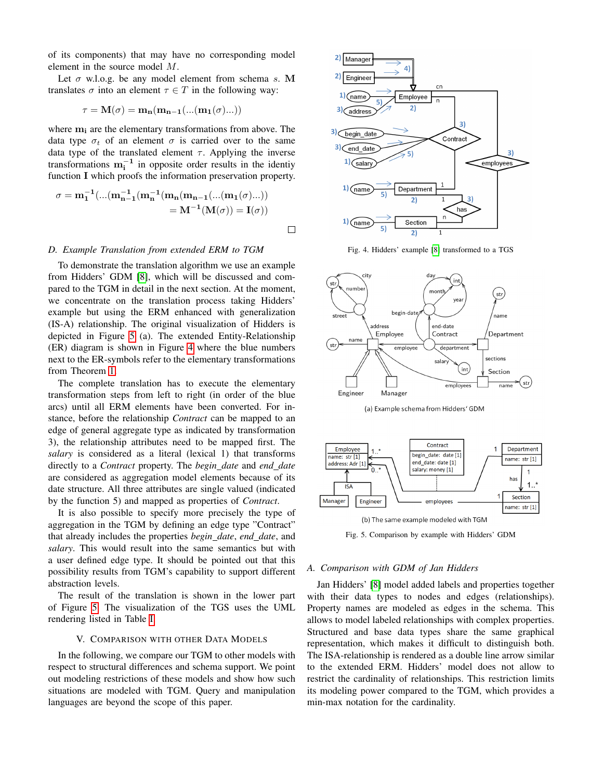of its components) that may have no corresponding model element in the source model M.

Let  $\sigma$  w.l.o.g. be any model element from schema s. M translates  $\sigma$  into an element  $\tau \in T$  in the following way:

$$
\tau = \mathbf{M}(\sigma) = \mathbf{m}_{\mathbf{n}}(\mathbf{m}_{\mathbf{n-1}}(\ldots(\mathbf{m}_{\mathbf{1}}(\sigma)\ldots)))
$$

where  $m_i$  are the elementary transformations from above. The data type  $\sigma_t$  of an element  $\sigma$  is carried over to the same data type of the translated element  $\tau$ . Applying the inverse transformations  $m_i^{-1}$  in opposite order results in the identiy function I which proofs the information preservation property.

$$
\sigma = m_1^{-1}(...(m_{n-1}^{-1}(m_n(m_{n-1}(...(m_1(\sigma)...))
$$
  
=  $M^{-1}(M(\sigma)) = I(\sigma))$ 

### *D. Example Translation from extended ERM to TGM*

To demonstrate the translation algorithm we use an example from Hidders' GDM [\[8\]](#page-10-7), which will be discussed and compared to the TGM in detail in the next section. At the moment, we concentrate on the translation process taking Hidders' example but using the ERM enhanced with generalization (IS-A) relationship. The original visualization of Hidders is depicted in Figure [5](#page-6-1) (a). The extended Entity-Relationship (ER) diagram is shown in Figure [4](#page-6-2) where the blue numbers next to the ER-symbols refer to the elementary transformations from Theorem [1.](#page-5-1)

The complete translation has to execute the elementary transformation steps from left to right (in order of the blue arcs) until all ERM elements have been converted. For instance, before the relationship *Contract* can be mapped to an edge of general aggregate type as indicated by transformation 3), the relationship attributes need to be mapped first. The *salary* is considered as a literal (lexical 1) that transforms directly to a *Contract* property. The *begin date* and *end date* are considered as aggregation model elements because of its date structure. All three attributes are single valued (indicated by the function 5) and mapped as properties of *Contract*.

It is also possible to specify more precisely the type of aggregation in the TGM by defining an edge type "Contract" that already includes the properties *begin date*, *end date*, and *salary*. This would result into the same semantics but with a user defined edge type. It should be pointed out that this possibility results from TGM's capability to support different abstraction levels.

The result of the translation is shown in the lower part of Figure [5.](#page-6-1) The visualization of the TGS uses the UML rendering listed in Table [I.](#page-3-0)

### V. COMPARISON WITH OTHER DATA MODELS

<span id="page-6-0"></span>In the following, we compare our TGM to other models with respect to structural differences and schema support. We point out modeling restrictions of these models and show how such situations are modeled with TGM. Query and manipulation languages are beyond the scope of this paper.

<span id="page-6-2"></span>

Fig. 4. Hidders' example [\[8\]](#page-10-7) transformed to a TGS

<span id="page-6-1"></span>

(a) Example schema from Hidders' GDM



Fig. 5. Comparison by example with Hidders' GDM

# *A. Comparison with GDM of Jan Hidders*

Jan Hidders' [\[8\]](#page-10-7) model added labels and properties together with their data types to nodes and edges (relationships). Property names are modeled as edges in the schema. This allows to model labeled relationships with complex properties. Structured and base data types share the same graphical representation, which makes it difficult to distinguish both. The ISA-relationship is rendered as a double line arrow similar to the extended ERM. Hidders' model does not allow to restrict the cardinality of relationships. This restriction limits its modeling power compared to the TGM, which provides a min-max notation for the cardinality.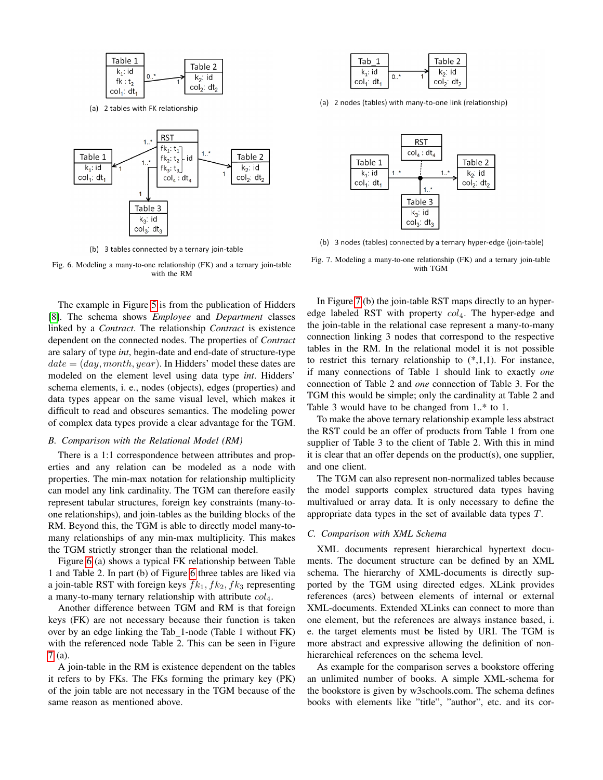<span id="page-7-0"></span>

(a) 2 tables with FK relationship



(b) 3 tables connected by a ternary join-table

Fig. 6. Modeling a many-to-one relationship (FK) and a ternary join-table with the RM

The example in Figure [5](#page-6-1) is from the publication of Hidders [\[8\]](#page-10-7). The schema shows *Employee* and *Department* classes linked by a *Contract*. The relationship *Contract* is existence dependent on the connected nodes. The properties of *Contract* are salary of type *int*, begin-date and end-date of structure-type  $date = (day, month, year)$ . In Hidders' model these dates are modeled on the element level using data type *int*. Hidders' schema elements, i. e., nodes (objects), edges (properties) and data types appear on the same visual level, which makes it difficult to read and obscures semantics. The modeling power of complex data types provide a clear advantage for the TGM.

#### *B. Comparison with the Relational Model (RM)*

There is a 1:1 correspondence between attributes and properties and any relation can be modeled as a node with properties. The min-max notation for relationship multiplicity can model any link cardinality. The TGM can therefore easily represent tabular structures, foreign key constraints (many-toone relationships), and join-tables as the building blocks of the RM. Beyond this, the TGM is able to directly model many-tomany relationships of any min-max multiplicity. This makes the TGM strictly stronger than the relational model.

Figure [6](#page-7-0) (a) shows a typical FK relationship between Table 1 and Table 2. In part (b) of Figure [6](#page-7-0) three tables are liked via a join-table RST with foreign keys  $fk_1, fk_2, fk_3$  representing a many-to-many ternary relationship with attribute  $col_4$ .

Another difference between TGM and RM is that foreign keys (FK) are not necessary because their function is taken over by an edge linking the Tab 1-node (Table 1 without FK) with the referenced node Table 2. This can be seen in Figure [7](#page-7-1) (a).

A join-table in the RM is existence dependent on the tables it refers to by FKs. The FKs forming the primary key (PK) of the join table are not necessary in the TGM because of the same reason as mentioned above.

<span id="page-7-1"></span>

(a) 2 nodes (tables) with many-to-one link (relationship)



(b) 3 nodes (tables) connected by a ternary hyper-edge (join-table)

Fig. 7. Modeling a many-to-one relationship (FK) and a ternary join-table with TGM

In Figure [7](#page-7-1) (b) the join-table RST maps directly to an hyperedge labeled RST with property  $col_4$ . The hyper-edge and the join-table in the relational case represent a many-to-many connection linking 3 nodes that correspond to the respective tables in the RM. In the relational model it is not possible to restrict this ternary relationship to  $(*,1,1)$ . For instance, if many connections of Table 1 should link to exactly *one* connection of Table 2 and *one* connection of Table 3. For the TGM this would be simple; only the cardinality at Table 2 and Table 3 would have to be changed from 1..\* to 1.

To make the above ternary relationship example less abstract the RST could be an offer of products from Table 1 from one supplier of Table 3 to the client of Table 2. With this in mind it is clear that an offer depends on the product(s), one supplier, and one client.

The TGM can also represent non-normalized tables because the model supports complex structured data types having multivalued or array data. It is only necessary to define the appropriate data types in the set of available data types T.

# *C. Comparison with XML Schema*

XML documents represent hierarchical hypertext documents. The document structure can be defined by an XML schema. The hierarchy of XML-documents is directly supported by the TGM using directed edges. XLink provides references (arcs) between elements of internal or external XML-documents. Extended XLinks can connect to more than one element, but the references are always instance based, i. e. the target elements must be listed by URI. The TGM is more abstract and expressive allowing the definition of nonhierarchical references on the schema level.

As example for the comparison serves a bookstore offering an unlimited number of books. A simple XML-schema for the bookstore is given by w3schools.com. The schema defines books with elements like "title", "author", etc. and its cor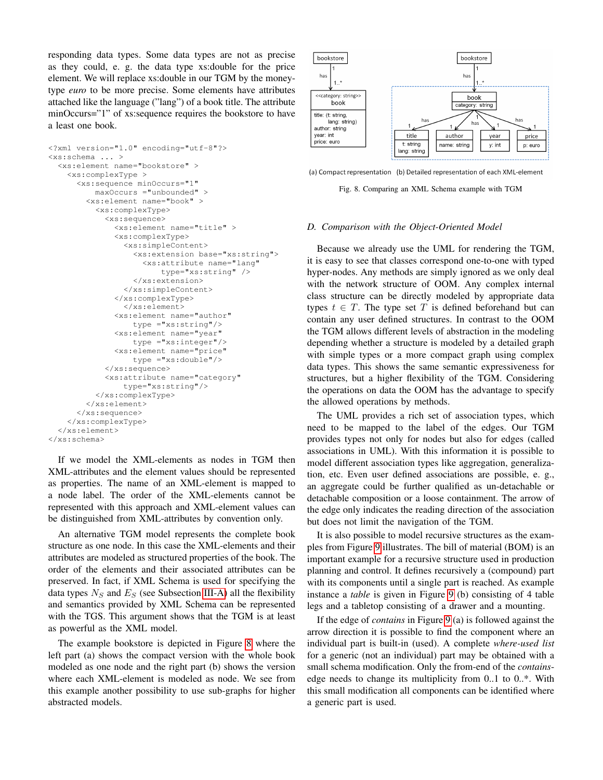responding data types. Some data types are not as precise as they could, e. g. the data type xs:double for the price element. We will replace xs:double in our TGM by the moneytype *euro* to be more precise. Some elements have attributes attached like the language ("lang") of a book title. The attribute minOccurs="1" of xs:sequence requires the bookstore to have a least one book.

```
<?xml version="1.0" encoding="utf-8"?>
<xs:schema ... >
  <xs:element name="bookstore" >
    <xs:complexType >
      <xs:sequence minOccurs="1"
          maxOccurs ="unbounded" >
        <xs:element name="book" >
          <xs:complexType>
            <xs:sequence>
              <xs:element name="title" >
              <xs:complexType>
                <xs:simpleContent>
                  <xs:extension base="xs:string">
                    <xs:attribute name="lang"
                        type="xs:string" />
                  </xs:extension>
                </xs:simpleContent>
              </xs:complexType>
                </xs:element>
              <xs:element name="author"
                  type ="xs:string"/>
              <xs:element name="year"
                  type ="xs:integer"/>
              <xs:element name="price"
                  type ="xs:double"/>
            </xs:sequence>
            <xs:attribute name="category"
                type="xs:string"/>
          </xs:complexType>
        </xs:element>
      </xs:sequence>
    </xs:complexType>
  </xs:element>
</xs:schema>
```
If we model the XML-elements as nodes in TGM then XML-attributes and the element values should be represented as properties. The name of an XML-element is mapped to a node label. The order of the XML-elements cannot be represented with this approach and XML-element values can be distinguished from XML-attributes by convention only.

An alternative TGM model represents the complete book structure as one node. In this case the XML-elements and their attributes are modeled as structured properties of the book. The order of the elements and their associated attributes can be preserved. In fact, if XML Schema is used for specifying the data types  $N<sub>S</sub>$  and  $E<sub>S</sub>$  (see Subsection [III-A\)](#page-2-1) all the flexibility and semantics provided by XML Schema can be represented with the TGS. This argument shows that the TGM is at least as powerful as the XML model.

The example bookstore is depicted in Figure [8](#page-8-0) where the left part (a) shows the compact version with the whole book modeled as one node and the right part (b) shows the version where each XML-element is modeled as node. We see from this example another possibility to use sub-graphs for higher abstracted models.

<span id="page-8-0"></span>

(a) Compact representation (b) Detailed representation of each XML-element

Fig. 8. Comparing an XML Schema example with TGM

### *D. Comparison with the Object-Oriented Model*

Because we already use the UML for rendering the TGM, it is easy to see that classes correspond one-to-one with typed hyper-nodes. Any methods are simply ignored as we only deal with the network structure of OOM. Any complex internal class structure can be directly modeled by appropriate data types  $t \in T$ . The type set T is defined beforehand but can contain any user defined structures. In contrast to the OOM the TGM allows different levels of abstraction in the modeling depending whether a structure is modeled by a detailed graph with simple types or a more compact graph using complex data types. This shows the same semantic expressiveness for structures, but a higher flexibility of the TGM. Considering the operations on data the OOM has the advantage to specify the allowed operations by methods.

The UML provides a rich set of association types, which need to be mapped to the label of the edges. Our TGM provides types not only for nodes but also for edges (called associations in UML). With this information it is possible to model different association types like aggregation, generalization, etc. Even user defined associations are possible, e. g., an aggregate could be further qualified as un-detachable or detachable composition or a loose containment. The arrow of the edge only indicates the reading direction of the association but does not limit the navigation of the TGM.

It is also possible to model recursive structures as the examples from Figure [9](#page-9-0) illustrates. The bill of material (BOM) is an important example for a recursive structure used in production planning and control. It defines recursively a (compound) part with its components until a single part is reached. As example instance a *table* is given in Figure [9](#page-9-0) (b) consisting of 4 table legs and a tabletop consisting of a drawer and a mounting.

If the edge of *contains* in Figure [9](#page-9-0) (a) is followed against the arrow direction it is possible to find the component where an individual part is built-in (used). A complete *where-used list* for a generic (not an individual) part may be obtained with a small schema modification. Only the from-end of the *contains*edge needs to change its multiplicity from 0..1 to 0..\*. With this small modification all components can be identified where a generic part is used.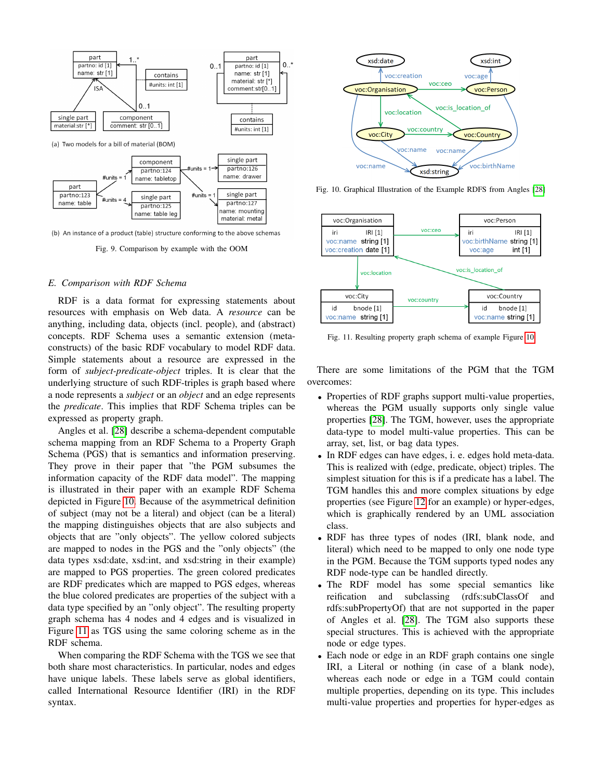<span id="page-9-0"></span>

(b) An instance of a product (table) structure conforming to the above schemas

Fig. 9. Comparison by example with the OOM

#### *E. Comparison with RDF Schema*

RDF is a data format for expressing statements about resources with emphasis on Web data. A *resource* can be anything, including data, objects (incl. people), and (abstract) concepts. RDF Schema uses a semantic extension (metaconstructs) of the basic RDF vocabulary to model RDF data. Simple statements about a resource are expressed in the form of *subject-predicate-object* triples. It is clear that the underlying structure of such RDF-triples is graph based where a node represents a *subject* or an *object* and an edge represents the *predicate*. This implies that RDF Schema triples can be expressed as property graph.

Angles et al. [\[28\]](#page-11-11) describe a schema-dependent computable schema mapping from an RDF Schema to a Property Graph Schema (PGS) that is semantics and information preserving. They prove in their paper that "the PGM subsumes the information capacity of the RDF data model". The mapping is illustrated in their paper with an example RDF Schema depicted in Figure [10.](#page-9-1) Because of the asymmetrical definition of subject (may not be a literal) and object (can be a literal) the mapping distinguishes objects that are also subjects and objects that are "only objects". The yellow colored subjects are mapped to nodes in the PGS and the "only objects" (the data types xsd:date, xsd:int, and xsd:string in their example) are mapped to PGS properties. The green colored predicates are RDF predicates which are mapped to PGS edges, whereas the blue colored predicates are properties of the subject with a data type specified by an "only object". The resulting property graph schema has 4 nodes and 4 edges and is visualized in Figure [11](#page-9-2) as TGS using the same coloring scheme as in the RDF schema.

When comparing the RDF Schema with the TGS we see that both share most characteristics. In particular, nodes and edges have unique labels. These labels serve as global identifiers, called International Resource Identifier (IRI) in the RDF syntax.

<span id="page-9-1"></span>

Fig. 10. Graphical Illustration of the Example RDFS from Angles [\[28\]](#page-11-11)

<span id="page-9-2"></span>

Fig. 11. Resulting property graph schema of example Figure [10](#page-9-1)

There are some limitations of the PGM that the TGM overcomes:

- Properties of RDF graphs support multi-value properties, whereas the PGM usually supports only single value properties [\[28\]](#page-11-11). The TGM, however, uses the appropriate data-type to model multi-value properties. This can be array, set, list, or bag data types.
- In RDF edges can have edges, i. e. edges hold meta-data. This is realized with (edge, predicate, object) triples. The simplest situation for this is if a predicate has a label. The TGM handles this and more complex situations by edge properties (see Figure [12](#page-11-22) for an example) or hyper-edges, which is graphically rendered by an UML association class.
- RDF has three types of nodes (IRI, blank node, and literal) which need to be mapped to only one node type in the PGM. Because the TGM supports typed nodes any RDF node-type can be handled directly.
- The RDF model has some special semantics like reification and subclassing (rdfs:subClassOf and rdfs:subPropertyOf) that are not supported in the paper of Angles et al. [\[28\]](#page-11-11). The TGM also supports these special structures. This is achieved with the appropriate node or edge types.
- Each node or edge in an RDF graph contains one single IRI, a Literal or nothing (in case of a blank node), whereas each node or edge in a TGM could contain multiple properties, depending on its type. This includes multi-value properties and properties for hyper-edges as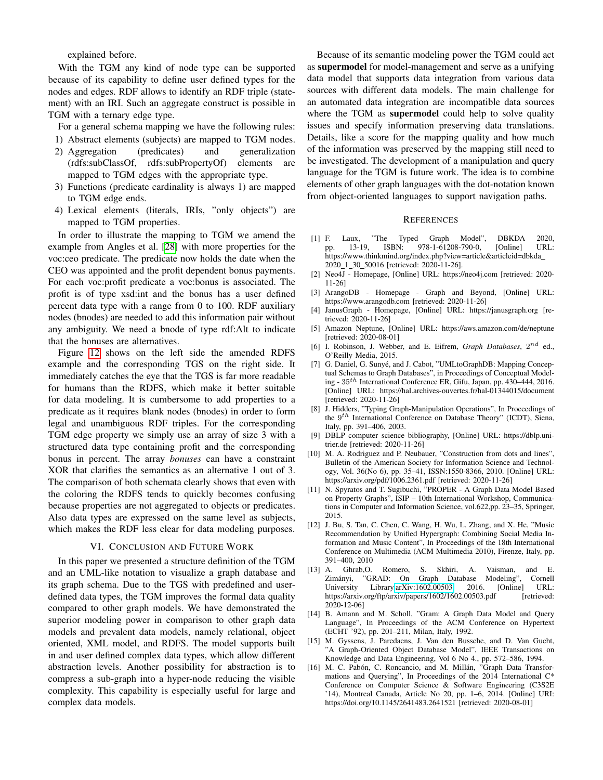explained before.

With the TGM any kind of node type can be supported because of its capability to define user defined types for the nodes and edges. RDF allows to identify an RDF triple (statement) with an IRI. Such an aggregate construct is possible in TGM with a ternary edge type.

For a general schema mapping we have the following rules:

- 1) Abstract elements (subjects) are mapped to TGM nodes.
- 2) Aggregation (predicates) and generalization (rdfs:subClassOf, rdfs:subPropertyOf) elements are mapped to TGM edges with the appropriate type.
- 3) Functions (predicate cardinality is always 1) are mapped to TGM edge ends.
- 4) Lexical elements (literals, IRIs, "only objects") are mapped to TGM properties.

In order to illustrate the mapping to TGM we amend the example from Angles et al. [\[28\]](#page-11-11) with more properties for the voc:ceo predicate. The predicate now holds the date when the CEO was appointed and the profit dependent bonus payments. For each voc:profit predicate a voc:bonus is associated. The profit is of type xsd:int and the bonus has a user defined percent data type with a range from 0 to 100. RDF auxiliary nodes (bnodes) are needed to add this information pair without any ambiguity. We need a bnode of type rdf:Alt to indicate that the bonuses are alternatives.

Figure [12](#page-11-22) shows on the left side the amended RDFS example and the corresponding TGS on the right side. It immediately catches the eye that the TGS is far more readable for humans than the RDFS, which make it better suitable for data modeling. It is cumbersome to add properties to a predicate as it requires blank nodes (bnodes) in order to form legal and unambiguous RDF triples. For the corresponding TGM edge property we simply use an array of size 3 with a structured data type containing profit and the corresponding bonus in percent. The array *bonuses* can have a constraint XOR that clarifies the semantics as an alternative 1 out of 3. The comparison of both schemata clearly shows that even with the coloring the RDFS tends to quickly becomes confusing because properties are not aggregated to objects or predicates. Also data types are expressed on the same level as subjects, which makes the RDF less clear for data modeling purposes.

## VI. CONCLUSION AND FUTURE WORK

In this paper we presented a structure definition of the TGM and an UML-like notation to visualize a graph database and its graph schema. Due to the TGS with predefined and userdefined data types, the TGM improves the formal data quality compared to other graph models. We have demonstrated the superior modeling power in comparison to other graph data models and prevalent data models, namely relational, object oriented, XML model, and RDFS. The model supports built in and user defined complex data types, which allow different abstraction levels. Another possibility for abstraction is to compress a sub-graph into a hyper-node reducing the visible complexity. This capability is especially useful for large and complex data models.

Because of its semantic modeling power the TGM could act as supermodel for model-management and serve as a unifying data model that supports data integration from various data sources with different data models. The main challenge for an automated data integration are incompatible data sources where the TGM as **supermodel** could help to solve quality issues and specify information preserving data translations. Details, like a score for the mapping quality and how much of the information was preserved by the mapping still need to be investigated. The development of a manipulation and query language for the TGM is future work. The idea is to combine elements of other graph languages with the dot-notation known from object-oriented languages to support navigation paths.

#### **REFERENCES**

- <span id="page-10-0"></span>[1] F. Laux, "The Typed Graph Model", DBKDA 2020, pp. 13-19, ISBN: 978-1-61208-790-0, [Online] URL: https://www.thinkmind.org/index.php?view=article&articleid=dbkda 2020 1 30 50016 [retrieved: 2020-11-26].
- <span id="page-10-1"></span>[2] Neo4J - Homepage, [Online] URL: https://neo4j.com [retrieved: 2020- 11-26]
- <span id="page-10-2"></span>[3] ArangoDB - Homepage - Graph and Beyond, [Online] URL: https://www.arangodb.com [retrieved: 2020-11-26]
- <span id="page-10-3"></span>[4] JanusGraph - Homepage, [Online] URL: https://janusgraph.org [retrieved: 2020-11-26]
- <span id="page-10-4"></span>[5] Amazon Neptune, [Online] URL: https://aws.amazon.com/de/neptune [retrieved: 2020-08-01]
- <span id="page-10-5"></span>[6] I. Robinson, J. Webber, and E. Eifrem, *Graph Databases*,  $2^{nd}$  ed., O'Reilly Media, 2015.
- <span id="page-10-6"></span>[7] G. Daniel, G. Sunyé, and J. Cabot, "UMLtoGraphDB: Mapping Conceptual Schemas to Graph Databases", in Proceedings of Conceptual Modeling - 35th International Conference ER, Gifu, Japan, pp. 430–444, 2016. [Online] URL: https://hal.archives-ouvertes.fr/hal-01344015/document [retrieved: 2020-11-26]
- <span id="page-10-7"></span>[8] J. Hidders, "Typing Graph-Manipulation Operations", In Proceedings of the 9<sup>th</sup> International Conference on Database Theory" (ICDT), Siena, Italy, pp. 391–406, 2003.
- <span id="page-10-8"></span>[9] DBLP computer science bibliography, [Online] URL: https://dblp.unitrier.de [retrieved: 2020-11-26]
- <span id="page-10-9"></span>[10] M. A. Rodriguez and P. Neubauer, "Construction from dots and lines", Bulletin of the American Society for Information Science and Technology, Vol. 36(No 6), pp. 35–41, ISSN:1550-8366, 2010. [Online] URL: https://arxiv.org/pdf/1006.2361.pdf [retrieved: 2020-11-26]
- <span id="page-10-10"></span>[11] N. Spyratos and T. Sugibuchi, "PROPER - A Graph Data Model Based on Property Graphs", ISIP – 10th International Workshop, Communications in Computer and Information Science, vol.622,pp. 23–35, Springer, 2015.
- <span id="page-10-11"></span>[12] J. Bu, S. Tan, C. Chen, C. Wang, H. Wu, L. Zhang, and X. He, "Music Recommendation by Unified Hypergraph: Combining Social Media Information and Music Content", In Proceedings of the 18th International Conference on Multimedia (ACM Multimedia 2010), Firenze, Italy, pp. 391–400, 2010
- <span id="page-10-12"></span>[13] A. Ghrab,O. Romero, S. Skhiri, A. Vaisman, and E. Zimányi, "GRAD: On Graph Database Modeling", Cornell<br>University Library.arXiv:1602.00503, 2016. [Online] URL: University Library, arXiv:1602.00503, 2016. [Online] https://arxiv.org/ftp/arxiv/papers/1602/1602.00503.pdf [retrieved: 2020-12-06]
- <span id="page-10-13"></span>[14] B. Amann and M. Scholl, "Gram: A Graph Data Model and Query Language", In Proceedings of the ACM Conference on Hypertext (ECHT '92), pp. 201–211, Milan, Italy, 1992.
- <span id="page-10-14"></span>[15] M. Gyssens, J. Paredaens, J. Van den Bussche, and D. Van Gucht, "A Graph-Oriented Object Database Model", IEEE Transactions on Knowledge and Data Engineering, Vol 6 No 4., pp. 572–586, 1994.
- <span id="page-10-15"></span>[16] M. C. Pabón, C. Roncancio, and M. Millán, "Graph Data Transformations and Querying", In Proceedings of the 2014 International C\* Conference on Computer Science & Software Engineering (C3S2E '14), Montreal Canada, Article No 20, pp. 1–6, 2014. [Online] URI: https://doi.org/10.1145/2641483.2641521 [retrieved: 2020-08-01]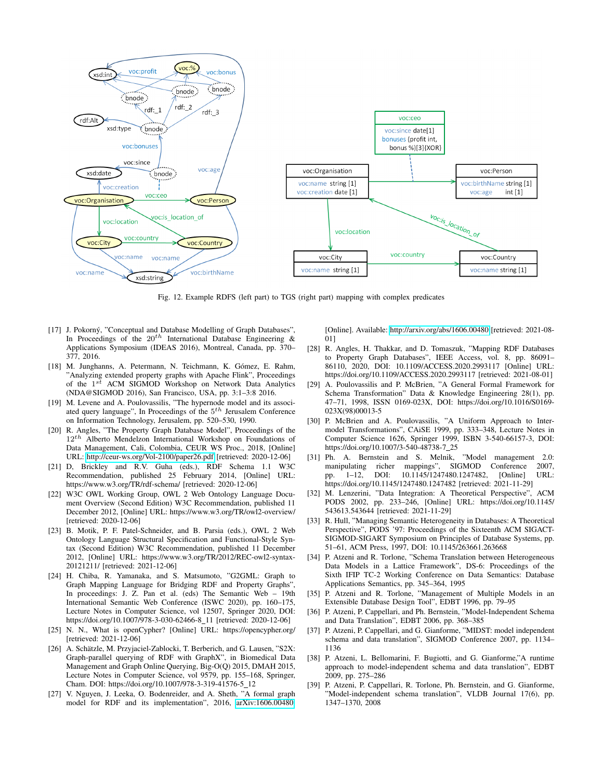<span id="page-11-22"></span>

Fig. 12. Example RDFS (left part) to TGS (right part) mapping with complex predicates

- <span id="page-11-0"></span>[17] J. Pokorný, "Conceptual and Database Modelling of Graph Databases", In Proceedings of the  $20^{th}$  International Database Engineering & Applications Symposium (IDEAS 2016), Montreal, Canada, pp. 370– 377, 2016.
- <span id="page-11-1"></span>[18] M. Junghanns, A. Petermann, N. Teichmann, K. Gómez, E. Rahm, "Analyzing extended property graphs with Apache Flink", Proceedings of the  $1<sup>st</sup>$  ACM SIGMOD Workshop on Network Data Analytics (NDA@SIGMOD 2016), San Francisco, USA, pp. 3:1–3:8 2016.
- <span id="page-11-2"></span>[19] M. Levene and A. Poulovassilis, "The hypernode model and its associated query language", In Proceedings of the  $5<sup>th</sup>$  Jerusalem Conference on Information Technology, Jerusalem, pp. 520–530, 1990.
- <span id="page-11-3"></span>[20] R. Angles, "The Property Graph Database Model", Proceedings of the  $12^{th}$  Alberto Mendelzon International Workshop on Foundations of Data Management, Cali, Colombia, CEUR WS Proc., 2018, [Online] URL:<http://ceur-ws.org/Vol-2100/paper26.pdf> [retrieved: 2020-12-06]
- <span id="page-11-4"></span>[21] D, Brickley and R.V. Guha (eds.), RDF Schema 1.1 W3C Recommendation, published 25 February 2014, [Online] URL: https://www.w3.org/TR/rdf-schema/ [retrieved: 2020-12-06]
- <span id="page-11-5"></span>[22] W3C OWL Working Group, OWL 2 Web Ontology Language Document Overview (Second Edition) W3C Recommendation, published 11 December 2012, [Online] URL: https://www.w3.org/TR/owl2-overview/ [retrieved: 2020-12-06]
- <span id="page-11-6"></span>[23] B. Motik, P. F. Patel-Schneider, and B. Parsia (eds.), OWL 2 Web Ontology Language Structural Specification and Functional-Style Syntax (Second Edition) W3C Recommendation, published 11 December 2012, [Online] URL: https://www.w3.org/TR/2012/REC-owl2-syntax-20121211/ [retrieved: 2021-12-06]
- <span id="page-11-7"></span>[24] H. Chiba, R. Yamanaka, and S. Matsumoto, "G2GML: Graph to Graph Mapping Language for Bridging RDF and Property Graphs", In proceedings: J. Z. Pan et al. (eds) The Semantic Web – 19th International Semantic Web Conference (ISWC 2020), pp. 160–175, Lecture Notes in Computer Science, vol 12507, Springer 2020, DOI: https://doi.org/10.1007/978-3-030-62466-8 11 [retrieved: 2020-12-06]
- <span id="page-11-8"></span>[25] N. N., What is openCypher? [Online] URL: https://opencypher.org/ [retrieved: 2021-12-06]
- <span id="page-11-9"></span>[26] A. Schätzle, M. Przyjaciel-Zablocki, T. Berberich, and G. Lausen, "S2X: Graph-parallel querying of RDF with GraphX", in Biomedical Data Management and Graph Online Querying, Big-O(Q) 2015, DMAH 2015, Lecture Notes in Computer Science, vol 9579, pp. 155–168, Springer, Cham. DOI: https://doi.org/10.1007/978-3-319-41576-5\_12
- <span id="page-11-10"></span>[27] V. Nguyen, J. Leeka, O. Bodenreider, and A. Sheth, "A formal graph model for RDF and its implementation", 2016, [arXiv:1606.00480.](http://arxiv.org/abs/1606.00480)

[Online]. Available:<http://arxiv.org/abs/1606.00480> [retrieved: 2021-08- 01]

- <span id="page-11-11"></span>[28] R. Angles, H. Thakkar, and D. Tomaszuk, "Mapping RDF Databases to Property Graph Databases", IEEE Access, vol. 8, pp. 86091– 86110, 2020, DOI: 10.1109/ACCESS.2020.2993117 [Online] URL: https://doi.org/10.1109/ACCESS.2020.2993117 [retrieved: 2021-08-01]
- <span id="page-11-12"></span>[29] A. Poulovassilis and P. McBrien, "A General Formal Framework for Schema Transformation" Data & Knowledge Engineering 28(1), pp. 47–71, 1998, ISSN 0169-023X, DOI: https://doi.org/10.1016/S0169- 023X(98)00013-5
- <span id="page-11-13"></span>[30] P. McBrien and A. Poulovassilis, "A Uniform Approach to Intermodel Transformations", CAiSE 1999, pp. 333–348, Lecture Notes in Computer Science 1626, Springer 1999, ISBN 3-540-66157-3, DOI: https://doi.org/10.1007/3-540-48738-7 25
- <span id="page-11-14"></span>[31] Ph. A. Bernstein and S. Melnik, "Model management 2.0: manipulating richer mappings", SIGMOD Conference 2007, pp. 1–12, DOI: 10.1145/1247480.1247482, [Online] URL: https://doi.org/10.1145/1247480.1247482 [retrieved: 2021-11-29]
- <span id="page-11-15"></span>[32] M. Lenzerini, "Data Integration: A Theoretical Perspective", ACM PODS 2002, pp. 233–246, [Online] URL: https://doi.org/10.1145/ 543613.543644 [retrieved: 2021-11-29]
- <span id="page-11-16"></span>[33] R. Hull, "Managing Semantic Heterogeneity in Databases: A Theoretical Perspective", PODS '97: Proceedings of the Sixteenth ACM SIGACT-SIGMOD-SIGART Symposium on Principles of Database Systems, pp. 51–61, ACM Press, 1997, DOI: 10.1145/263661.263668
- <span id="page-11-17"></span>[34] P. Atzeni and R. Torlone, "Schema Translation between Heterogeneous Data Models in a Lattice Framework", DS-6: Proceedings of the Sixth IFIP TC-2 Working Conference on Data Semantics: Database Applications Semantics, pp. 345–364, 1995
- <span id="page-11-18"></span>[35] P. Atzeni and R. Torlone, "Management of Multiple Models in an Extensible Database Design Tool", EDBT 1996, pp. 79–95
- <span id="page-11-19"></span>[36] P. Atzeni, P. Cappellari, and Ph. Bernstein, "Model-Independent Schema and Data Translation", EDBT 2006, pp. 368–385
- <span id="page-11-20"></span>[37] P. Atzeni, P. Cappellari, and G. Gianforme, "MIDST: model independent schema and data translation", SIGMOD Conference 2007, pp. 1134– 1136
- [38] P. Atzeni, L. Bellomarini, F. Bugiotti, and G. Gianforme,"A runtime approach to model-independent schema and data translation", EDBT 2009, pp. 275–286
- <span id="page-11-21"></span>[39] P. Atzeni, P. Cappellari, R. Torlone, Ph. Bernstein, and G. Gianforme, "Model-independent schema translation", VLDB Journal 17(6), pp. 1347–1370, 2008